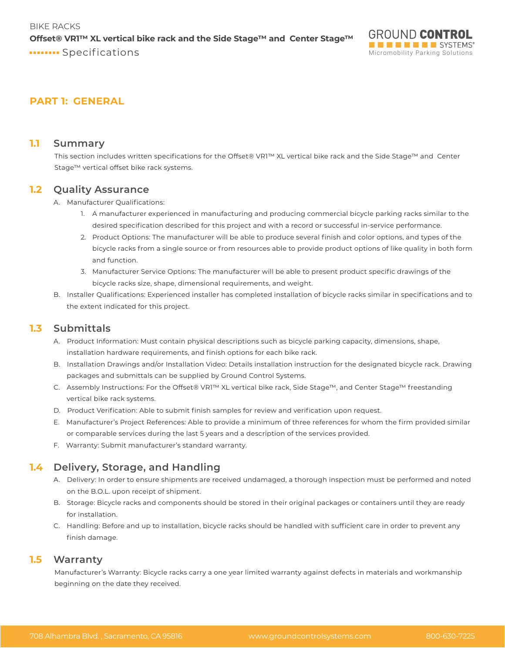## **PART 1: GENERAL**

#### **1.1 Summary**

This section includes written specifications for the Offset® VR1™ XL vertical bike rack and the Side Stage™ and Center Stage™ vertical offset bike rack systems.

#### **1.2 Quality Assurance**

A. Manufacturer Qualifications:

- 1. A manufacturer experienced in manufacturing and producing commercial bicycle parking racks similar to the desired specification described for this project and with a record or successful in-service performance.
- 2. Product Options: The manufacturer will be able to produce several finish and color options, and types of the bicycle racks from a single source or from resources able to provide product options of like quality in both form and function.
- 3. Manufacturer Service Options: The manufacturer will be able to present product specific drawings of the bicycle racks size, shape, dimensional requirements, and weight.
- B. Installer Qualifications: Experienced installer has completed installation of bicycle racks similar in specifications and to the extent indicated for this project.

### **1.3 Submittals**

- A. Product Information: Must contain physical descriptions such as bicycle parking capacity, dimensions, shape, installation hardware requirements, and finish options for each bike rack.
- B. Installation Drawings and/or Installation Video: Details installation instruction for the designated bicycle rack. Drawing packages and submittals can be supplied by Ground Control Systems.
- C. Assembly Instructions: For the Offset® VR1™ XL vertical bike rack, Side Stage™, and Center Stage™ freestanding vertical bike rack systems.
- D. Product Verification: Able to submit finish samples for review and verification upon request.
- E. Manufacturer's Project References: Able to provide a minimum of three references for whom the firm provided similar or comparable services during the last 5 years and a description of the services provided.
- F. Warranty: Submit manufacturer's standard warranty.

# **1.4 Delivery, Storage, and Handling**

- A. Delivery: In order to ensure shipments are received undamaged, a thorough inspection must be performed and noted on the B.O.L. upon receipt of shipment.
- B. Storage: Bicycle racks and components should be stored in their original packages or containers until they are ready for installation.
- C. Handling: Before and up to installation, bicycle racks should be handled with sufficient care in order to prevent any finish damage.

#### **1.5 Warranty**

Manufacturer's Warranty: Bicycle racks carry a one year limited warranty against defects in materials and workmanship beginning on the date they received.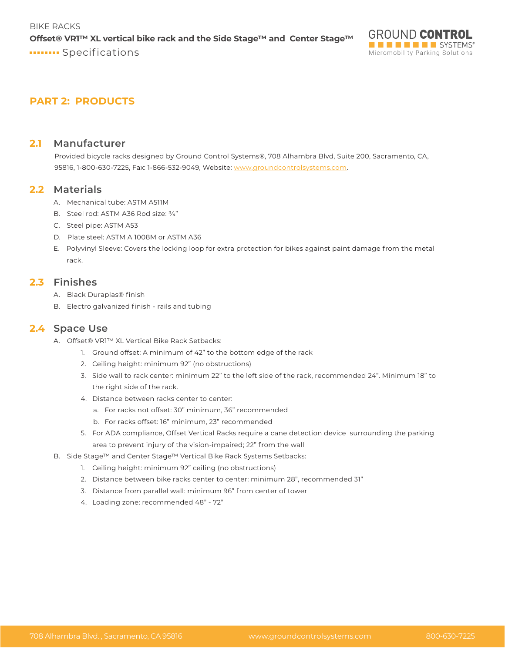# **PART 2: PRODUCTS**

#### **2.1 Manufacturer**

Provided bicycle racks designed by Ground Control Systems®, 708 Alhambra Blvd, Suite 200, Sacramento, CA, 95816, 1-800-630-7225, Fax: 1-866-532-9049, Website: www.groundcontrolsystems.com.

#### **2.2 Materials**

- A. Mechanical tube: ASTM A511M
- B. Steel rod: ASTM A36 Rod size: ¾"
- C. Steel pipe: ASTM A53
- D. Plate steel: ASTM A 1008M or ASTM A36
- E. Polyvinyl Sleeve: Covers the locking loop for extra protection for bikes against paint damage from the metal rack.

### **2.3 Finishes**

- A. Black Duraplas® finish
- B. Electro galvanized finish rails and tubing

### **2.4 Space Use**

- A. Offset® VR1™ XL Vertical Bike Rack Setbacks:
	- 1. Ground offset: A minimum of 42" to the bottom edge of the rack
	- 2. Ceiling height: minimum 92" (no obstructions)
	- 3. Side wall to rack center: minimum 22" to the left side of the rack, recommended 24". Minimum 18" to the right side of the rack.
	- 4. Distance between racks center to center:
		- a. For racks not offset: 30" minimum, 36" recommended
		- b. For racks offset: 16" minimum, 23" recommended
	- 5. For ADA compliance, Offset Vertical Racks require a cane detection device surrounding the parking area to prevent injury of the vision-impaired; 22" from the wall
- B. Side Stage™ and Center Stage™ Vertical Bike Rack Systems Setbacks:
	- 1. Ceiling height: minimum 92" ceiling (no obstructions)
	- 2. Distance between bike racks center to center: minimum 28", recommended 31"
	- 3. Distance from parallel wall: minimum 96" from center of tower
	- 4. Loading zone: recommended 48" 72"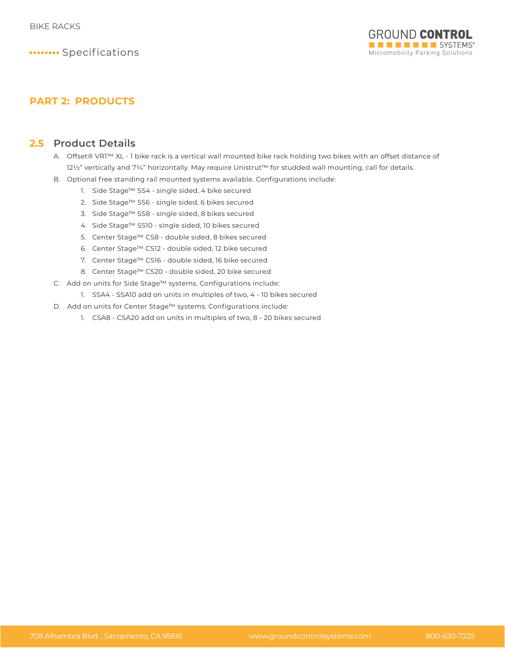

# **PART 2: PRODUCTS**

### **2.5 Product Details**

- A. Offset® VR1™ XL 1 bike rack is a vertical wall mounted bike rack holding two bikes with an offset distance of 12½" vertically and 7¼" horizontally. May require Unistrut™ for studded wall mounting, call for details.
- B. Optional free standing rail mounted systems available. Configurations include:
	- 1. Side Stage™ SS4 single sided, 4 bike secured
	- 2. Side Stage™ SS6 single sided, 6 bikes secured
	- 3. Side Stage™ SS8 single sided, 8 bikes secured
	- 4. Side Stage™ SS10 single sided, 10 bikes secured
	- 5. Center Stage™ CS8 double sided, 8 bikes secured
	- 6. Center Stage™ CS12 double sided, 12 bike secured
	- 7. Center Stage™ CS16 double sided, 16 bike secured
	- 8. Center Stage™ CS20 double sided, 20 bike secured
- C. Add on units for Side Stage™ systems. Configurations include:
	- 1. SSA4 SSA10 add on units in multiples of two, 4 10 bikes secured
- D. Add on units for Center Stage™ systems. Configurations include:
	- 1. CSA8 CSA20 add on units in multiples of two, 8 20 bikes secured